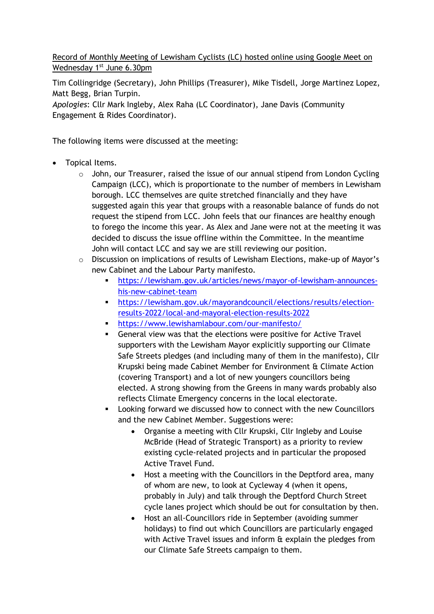Record of Monthly Meeting of Lewisham Cyclists (LC) hosted online using Google Meet on Wednesday 1<sup>st</sup> June 6.30pm

Tim Collingridge (Secretary), John Phillips (Treasurer), Mike Tisdell, Jorge Martinez Lopez, Matt Begg, Brian Turpin.

*Apologies*: Cllr Mark Ingleby, Alex Raha (LC Coordinator), Jane Davis (Community Engagement & Rides Coordinator).

The following items were discussed at the meeting:

- Topical Items.
	- $\circ$  John, our Treasurer, raised the issue of our annual stipend from London Cycling Campaign (LCC), which is proportionate to the number of members in Lewisham borough. LCC themselves are quite stretched financially and they have suggested again this year that groups with a reasonable balance of funds do not request the stipend from LCC. John feels that our finances are healthy enough to forego the income this year. As Alex and Jane were not at the meeting it was decided to discuss the issue offline within the Committee. In the meantime John will contact LCC and say we are still reviewing our position.
	- o Discussion on implications of results of Lewisham Elections, make-up of Mayor's new Cabinet and the Labour Party manifesto.
		- [https://lewisham.gov.uk/articles/news/mayor-of-lewisham-announces](https://lewisham.gov.uk/articles/news/mayor-of-lewisham-announces-his-new-cabinet-team)[his-new-cabinet-team](https://lewisham.gov.uk/articles/news/mayor-of-lewisham-announces-his-new-cabinet-team)
		- [https://lewisham.gov.uk/mayorandcouncil/elections/results/election](https://lewisham.gov.uk/mayorandcouncil/elections/results/election-results-2022/local-and-mayoral-election-results-2022)[results-2022/local-and-mayoral-election-results-2022](https://lewisham.gov.uk/mayorandcouncil/elections/results/election-results-2022/local-and-mayoral-election-results-2022)
		- <https://www.lewishamlabour.com/our-manifesto/>
		- **EXECT** General view was that the elections were positive for Active Travel supporters with the Lewisham Mayor explicitly supporting our Climate Safe Streets pledges (and including many of them in the manifesto), Cllr Krupski being made Cabinet Member for Environment & Climate Action (covering Transport) and a lot of new youngers councillors being elected. A strong showing from the Greens in many wards probably also reflects Climate Emergency concerns in the local electorate.
		- Looking forward we discussed how to connect with the new Councillors and the new Cabinet Member. Suggestions were:
			- Organise a meeting with Cllr Krupski, Cllr Ingleby and Louise McBride (Head of Strategic Transport) as a priority to review existing cycle-related projects and in particular the proposed Active Travel Fund.
			- Host a meeting with the Councillors in the Deptford area, many of whom are new, to look at Cycleway 4 (when it opens, probably in July) and talk through the Deptford Church Street cycle lanes project which should be out for consultation by then.
			- Host an all-Councillors ride in September (avoiding summer holidays) to find out which Councillors are particularly engaged with Active Travel issues and inform & explain the pledges from our Climate Safe Streets campaign to them.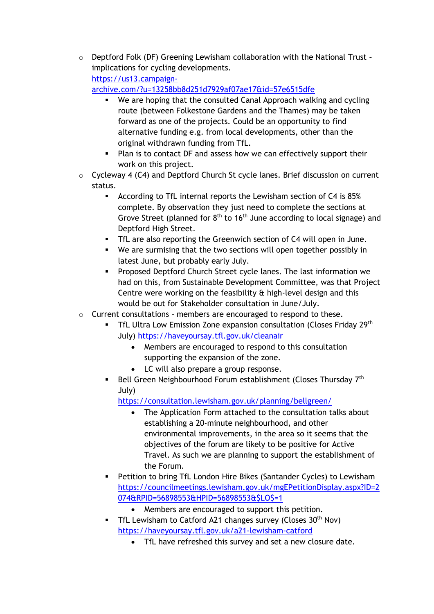$\circ$  Deptford Folk (DF) Greening Lewisham collaboration with the National Trust implications for cycling developments. [https://us13.campaign-](https://us13.campaign-archive.com/?u=13258bb8d251d7929af07ae17&id=57e6515dfe)

[archive.com/?u=13258bb8d251d7929af07ae17&id=57e6515dfe](https://us13.campaign-archive.com/?u=13258bb8d251d7929af07ae17&id=57e6515dfe)

- We are hoping that the consulted Canal Approach walking and cycling route (between Folkestone Gardens and the Thames) may be taken forward as one of the projects. Could be an opportunity to find alternative funding e.g. from local developments, other than the original withdrawn funding from TfL.
- Plan is to contact DF and assess how we can effectively support their work on this project.
- o Cycleway 4 (C4) and Deptford Church St cycle lanes. Brief discussion on current status.
	- According to TfL internal reports the Lewisham section of C4 is 85% complete. By observation they just need to complete the sections at Grove Street (planned for  $8<sup>th</sup>$  to 16<sup>th</sup> June according to local signage) and Deptford High Street.
	- **•** TfL are also reporting the Greenwich section of C4 will open in June.
	- We are surmising that the two sections will open together possibly in latest June, but probably early July.
	- Proposed Deptford Church Street cycle lanes. The last information we had on this, from Sustainable Development Committee, was that Project Centre were working on the feasibility & high-level design and this would be out for Stakeholder consultation in June/July.
- o Current consultations members are encouraged to respond to these.
	- **•** TfL Ultra Low Emission Zone expansion consultation (Closes Friday 29<sup>th</sup> July)<https://haveyoursay.tfl.gov.uk/cleanair>
		- Members are encouraged to respond to this consultation supporting the expansion of the zone.
		- LC will also prepare a group response.
	- **•** Bell Green Neighbourhood Forum establishment (Closes Thursday  $7<sup>th</sup>$ July)

<https://consultation.lewisham.gov.uk/planning/bellgreen/>

- The Application Form attached to the consultation talks about establishing a 20-minute neighbourhood, and other environmental improvements, in the area so it seems that the objectives of the forum are likely to be positive for Active Travel. As such we are planning to support the establishment of the Forum.
- Petition to bring TfL London Hire Bikes (Santander Cycles) to Lewisham [https://councilmeetings.lewisham.gov.uk/mgEPetitionDisplay.aspx?ID=2](https://councilmeetings.lewisham.gov.uk/mgEPetitionDisplay.aspx?ID=2074&RPID=56898553&HPID=56898553&$LO$=1) [074&RPID=56898553&HPID=56898553&\\$LO\\$=1](https://councilmeetings.lewisham.gov.uk/mgEPetitionDisplay.aspx?ID=2074&RPID=56898553&HPID=56898553&$LO$=1)
	- Members are encouraged to support this petition.
- **•** TfL Lewisham to Catford A21 changes survey (Closes  $30<sup>th</sup>$  Nov) <https://haveyoursay.tfl.gov.uk/a21-lewisham-catford>
	- TfL have refreshed this survey and set a new closure date.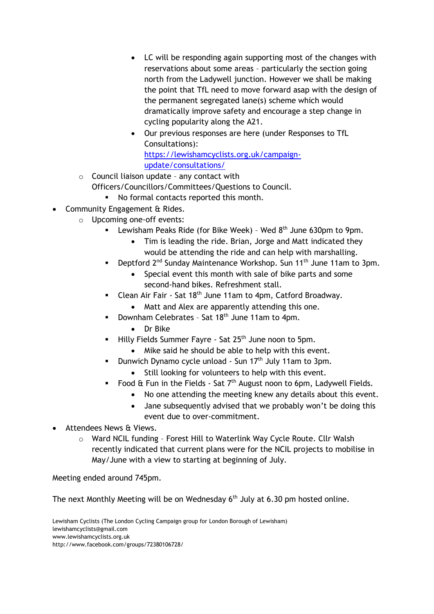- LC will be responding again supporting most of the changes with reservations about some areas – particularly the section going north from the Ladywell junction. However we shall be making the point that TfL need to move forward asap with the design of the permanent segregated lane(s) scheme which would dramatically improve safety and encourage a step change in cycling popularity along the A21.
- Our previous responses are here (under Responses to TfL Consultations): [https://lewishamcyclists.org.uk/campaign](https://lewishamcyclists.org.uk/campaign-update/consultations/)[update/consultations/](https://lewishamcyclists.org.uk/campaign-update/consultations/)
- $\circ$  Council liaison update any contact with
	- Officers/Councillors/Committees/Questions to Council.
		- No formal contacts reported this month.
- Community Engagement & Rides.
	- o Upcoming one-off events:
		- **EXEC** Lewisham Peaks Ride (for Bike Week) Wed  $8<sup>th</sup>$  June 630pm to 9pm.
			- Tim is leading the ride. Brian, Jorge and Matt indicated they would be attending the ride and can help with marshalling.
		- Deptford 2<sup>nd</sup> Sunday Maintenance Workshop. Sun 11<sup>th</sup> June 11am to 3pm.
			- Special event this month with sale of bike parts and some second-hand bikes. Refreshment stall.
		- Clean Air Fair Sat 18<sup>th</sup> June 11am to 4pm, Catford Broadway.
			- Matt and Alex are apparently attending this one.
			- Downham Celebrates Sat 18<sup>th</sup> June 11am to 4pm.
				- Dr Bike
			- Hilly Fields Summer Fayre Sat 25<sup>th</sup> June noon to 5pm.
				- Mike said he should be able to help with this event.
		- Dunwich Dynamo cycle unload Sun  $17<sup>th</sup>$  July 11am to 3pm.
			- Still looking for volunteers to help with this event.
		- Food  $\hat{a}$  Fun in the Fields Sat  $7<sup>th</sup>$  August noon to 6pm, Ladywell Fields.
			- No one attending the meeting knew any details about this event.
			- Jane subsequently advised that we probably won't be doing this event due to over-commitment.
- Attendees News & Views.
	- o Ward NCIL funding Forest Hill to Waterlink Way Cycle Route. Cllr Walsh recently indicated that current plans were for the NCIL projects to mobilise in May/June with a view to starting at beginning of July.

Meeting ended around 745pm.

The next Monthly Meeting will be on Wednesday  $6<sup>th</sup>$  July at 6.30 pm hosted online.

Lewisham Cyclists (The London Cycling Campaign group for London Borough of Lewisham) lewishamcyclists@gmail.com www.lewishamcyclists.org.uk http://www.facebook.com/groups/72380106728/